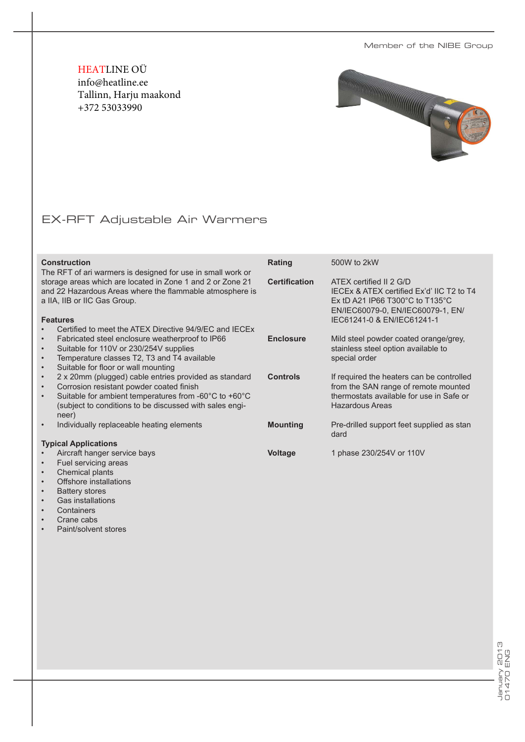Member of the NIBE Group

HEATLINE OÜ info@heatline.ee Tallinn, Harju maakond +372 53033990



## EX-RFT Adjustable Air Warmers

| <b>Construction</b><br>The RFT of ari warmers is designed for use in small work or                                                                                                                                                                                                          | Rating               | 500W to 2kW                                                                                                                                                                                      |  |  |  |
|---------------------------------------------------------------------------------------------------------------------------------------------------------------------------------------------------------------------------------------------------------------------------------------------|----------------------|--------------------------------------------------------------------------------------------------------------------------------------------------------------------------------------------------|--|--|--|
| storage areas which are located in Zone 1 and 2 or Zone 21<br>and 22 Hazardous Areas where the flammable atmosphere is<br>a IIA, IIB or IIC Gas Group.<br><b>Features</b><br>Certified to meet the ATEX Directive 94/9/EC and IECEx                                                         | <b>Certification</b> | ATEX certified II 2 G/D<br>IECEX & ATEX certified Ex'd' IIC T2 to T4<br>Ex tD A21 IP66 T300 $^{\circ}$ C to T135 $^{\circ}$ C<br>EN/IEC60079-0, EN/IEC60079-1, EN/<br>IEC61241-0 & EN/IEC61241-1 |  |  |  |
| Fabricated steel enclosure weatherproof to IP66<br>$\bullet$<br>Suitable for 110V or 230/254V supplies<br>$\bullet$<br>Temperature classes T2, T3 and T4 available<br>$\bullet$<br>Suitable for floor or wall mounting<br>$\bullet$                                                         | <b>Enclosure</b>     | Mild steel powder coated orange/grey,<br>stainless steel option available to<br>special order                                                                                                    |  |  |  |
| 2 x 20mm (plugged) cable entries provided as standard<br>$\bullet$<br>Corrosion resistant powder coated finish<br>$\bullet$<br>Suitable for ambient temperatures from -60 $^{\circ}$ C to +60 $^{\circ}$ C<br>$\bullet$<br>(subject to conditions to be discussed with sales engi-<br>neer) | <b>Controls</b>      | If required the heaters can be controlled<br>from the SAN range of remote mounted<br>thermostats available for use in Safe or<br><b>Hazardous Areas</b>                                          |  |  |  |
| Individually replaceable heating elements<br>$\bullet$                                                                                                                                                                                                                                      | <b>Mounting</b>      | Pre-drilled support feet supplied as stan<br>dard                                                                                                                                                |  |  |  |
| <b>Typical Applications</b>                                                                                                                                                                                                                                                                 |                      |                                                                                                                                                                                                  |  |  |  |
| Aircraft hanger service bays                                                                                                                                                                                                                                                                | Voltage              | 1 phase 230/254V or 110V                                                                                                                                                                         |  |  |  |

- Fuel servicing areas
- Chemical plants<br>• Offshore installar
- Offshore installations<br>• Battery stores
- Battery stores<br>• Gas installation
- Gas installations<br>• Containers
- Containers<br>• Crane cabs
- Crane cabs
- Paint/solvent stores